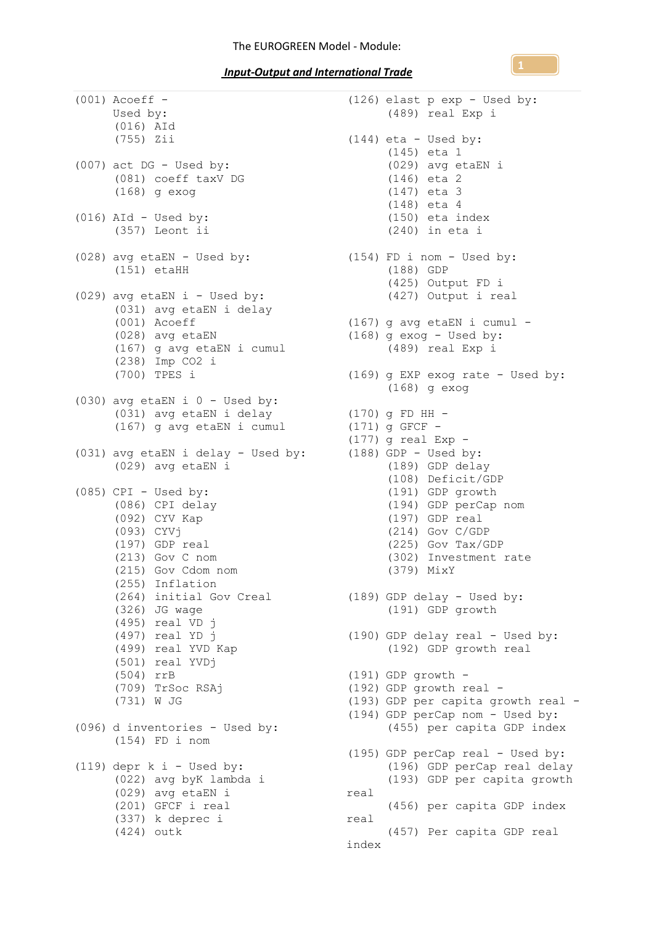*Input-Output and International Trade* 

| $(001)$ Acoeff -<br>Used by:<br>(016) AId<br>(755) Zii                                                                                                                                                                                                                                                                               |
|--------------------------------------------------------------------------------------------------------------------------------------------------------------------------------------------------------------------------------------------------------------------------------------------------------------------------------------|
| $(007)$ act DG - Used by:<br>(081) coeff taxV DG<br>$(168)$ g exog                                                                                                                                                                                                                                                                   |
| $(016)$ AId - Used by:<br>(357) Leont ii                                                                                                                                                                                                                                                                                             |
| (028) avg etaEN - Used by:<br>$(151)$ etaHH                                                                                                                                                                                                                                                                                          |
| (029) avg etaEN i - Used by:<br>(031) avg etaEN i delay<br>(001) Acoeff<br>(028) avg etaEN<br>(167) g avg etaEN i cumul<br>(238) Imp CO2 i<br>(700) TPES i                                                                                                                                                                           |
| $(030)$ avg etaEN i $0$ - Used by:<br>(031) avg etaEN i delay<br>(167) g avg etaEN i cumul                                                                                                                                                                                                                                           |
| (031) avg etaEN i delay - Used by:<br>(029) avg etaEN i                                                                                                                                                                                                                                                                              |
| $(085)$ CPI - Used by:<br>(086) CPI delay<br>(092) CYV Kap<br>(093) CYVj<br>(197) GDP real<br>$(213)$ Gov C nom<br>(215) Gov Cdom nom<br>(255) Inflation<br>(264) initial Gov Creal<br>(326) JG wage<br>(495) real VD j<br>(497) real YD j<br>(499) real YVD Kap<br>(501) real YVDj<br>$(504)$ rrB<br>(709) TrSoc RSAj<br>(731) W JG |
| (096) d inventories - Used by:<br>$(154)$ FD i nom                                                                                                                                                                                                                                                                                   |
| $(119)$ depr k i - Used by:<br>(022) avg byK lambda i<br>(029) avg etaEN i<br>(201) GFCF i real<br>(337) k deprec i<br>(424) outk                                                                                                                                                                                                    |

(126) elast p exp - Used by: (489) real Exp i  $(144)$  eta - Used by: (145) eta 1 (029) avg etaEN i (146) eta 2 (147) eta 3 (148) eta 4 (150) eta index (240) in eta i (154) FD i nom - Used by: (188) GDP (425) Output FD i (427) Output i real (167) g avg etaEN i cumul -  $(168)$  g exog - Used by: (489) real Exp i (169) g EXP exog rate - Used by: (168) g exog (170) g FD HH - (171) g GFCF - (177) g real  $Exp (188)$  GDP - Used by: (189) GDP delay (108) Deficit/GDP (191) GDP growth (194) GDP perCap nom (197) GDP real (214) Gov C/GDP (225) Gov Tax/GDP (302) Investment rate (379) MixY (189) GDP delay - Used by: (191) GDP growth (190) GDP delay real - Used by: (192) GDP growth real  $(191)$  GDP growth -(192) GDP growth real - (193) GDP per capita growth real - (194) GDP perCap nom - Used by: (455) per capita GDP index (195) GDP perCap real - Used by: (196) GDP perCap real delay (193) GDP per capita growth real (456) per capita GDP index real (457) Per capita GDP real index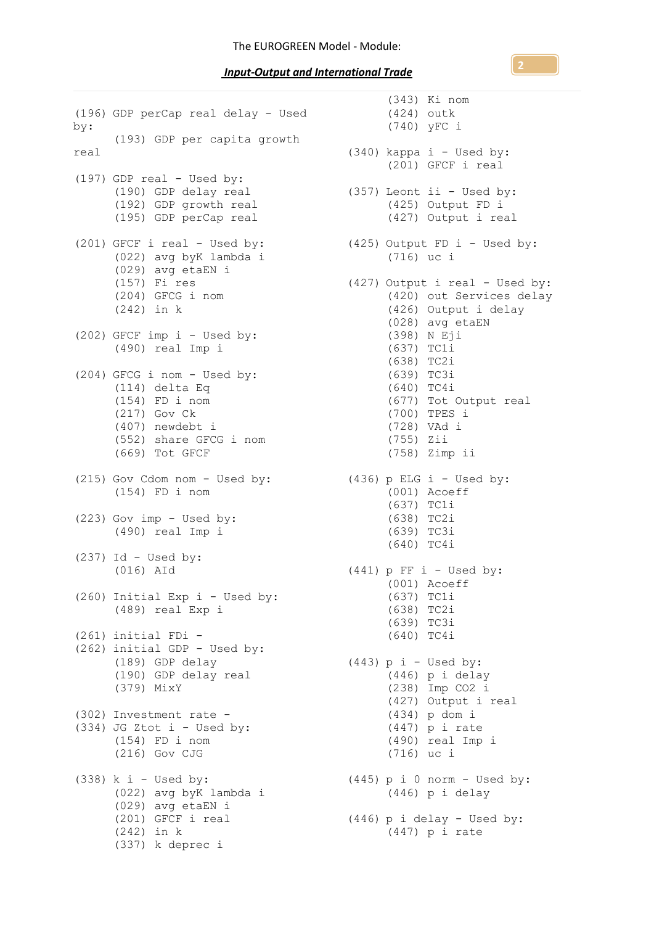*Input-Output and International Trade* 

(196) GDP perCap real delay - Used by: (193) GDP per capita growth real (197) GDP real - Used by: (190) GDP delay real (192) GDP growth real (195) GDP perCap real (201) GFCF i real - Used by: (022) avg byK lambda i (029) avg etaEN i (157) Fi res (204) GFCG i nom (242) in k (202) GFCF imp i - Used by: (490) real Imp i (204) GFCG i nom - Used by: (114) delta Eq (154) FD i nom (217) Gov Ck (407) newdebt i (552) share GFCG i nom (669) Tot GFCF (215) Gov Cdom nom - Used by: (154) FD i nom (223) Gov imp - Used by: (490) real Imp i  $(237)$  Id - Used by: (016) AId (260) Initial Exp i - Used by: (489) real Exp i (261) initial FDi - (262) initial GDP - Used by: (189) GDP delay (190) GDP delay real (379) MixY (302) Investment rate - (334) JG Ztot i - Used by: (154) FD i nom (216) Gov CJG  $(338)$  k i - Used by:  $(022)$  avg byK lambda i (029) avg etaEN i (201) GFCF i real (242) in k (337) k deprec i

(343) Ki nom (424) outk (740) yFC i (340) kappa i - Used by: (201) GFCF i real (357) Leont ii - Used by: (425) Output FD i (427) Output i real  $(425)$  Output FD i - Used by: (716) uc i (427) Output i real - Used by: (420) out Services delay (426) Output i delay (028) avg etaEN (398) N Eji (637) TC1i (638) TC2i (639) TC3i (640) TC4i (677) Tot Output real (700) TPES i (728) VAd i (755) Zii (758) Zimp ii  $(436)$  p ELG i - Used by: (001) Acoeff (637) TC1i (638) TC2i (639) TC3i (640) TC4i  $(441)$  p FF i - Used by: (001) Acoeff (637) TC1i (638) TC2i (639) TC3i (640) TC4i (443) p i - Used by: (446) p i delay (238) Imp CO2 i (427) Output i real (434) p dom i (447) p i rate (490) real Imp i (716) uc i (445) p i 0 norm - Used by: (446) p i delay (446) p i delay - Used by: (447) p i rate